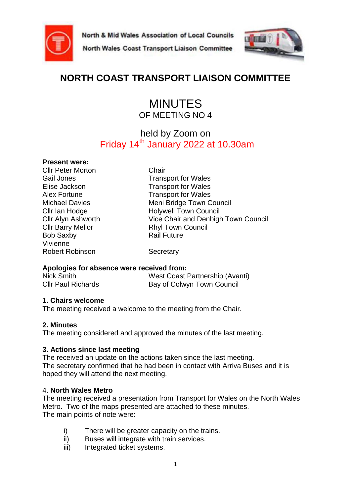





# **NORTH COAST TRANSPORT LIAISON COMMITTEE**

# MINUTES OF MEETING NO 4

# held by Zoom on Friday  $14<sup>th</sup>$  January 2022 at 10.30am

#### **Present were:**

Cllr Peter Morton Chair Bob Saxby **Rail Future** Vivienne Robert Robinson Secretary

Gail Jones **Transport for Wales** Elise Jackson Transport for Wales Alex Fortune Transport for Wales Michael Davies Meni Bridge Town Council Cllr Ian Hodge Holywell Town Council Cllr Alyn Ashworth Vice Chair and Denbigh Town Council Cllr Barry Mellor Rhyl Town Council

#### **Apologies for absence were received from:**

| Nick Smith                | West Coast Partnership (Avanti) |
|---------------------------|---------------------------------|
| <b>CIIr Paul Richards</b> | Bay of Colwyn Town Council      |

#### **1. Chairs welcome**

The meeting received a welcome to the meeting from the Chair.

#### **2. Minutes**

The meeting considered and approved the minutes of the last meeting.

#### **3. Actions since last meeting**

The received an update on the actions taken since the last meeting. The secretary confirmed that he had been in contact with Arriva Buses and it is hoped they will attend the next meeting.

#### 4. **North Wales Metro**

The meeting received a presentation from Transport for Wales on the North Wales Metro. Two of the maps presented are attached to these minutes. The main points of note were:

- i) There will be greater capacity on the trains.
- ii) Buses will integrate with train services.
- iii) Integrated ticket systems.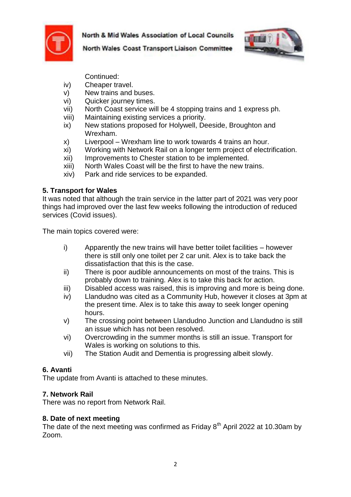



North Wales Coast Transport Liaison Committee

Continued:

- iv) Cheaper travel.
- v) New trains and buses.
- vi) Quicker journey times.
- vii) North Coast service will be 4 stopping trains and 1 express ph.
- viii) Maintaining existing services a priority.
- ix) New stations proposed for Holywell, Deeside, Broughton and Wrexham.
- x) Liverpool Wrexham line to work towards 4 trains an hour.
- xi) Working with Network Rail on a longer term project of electrification.
- xii) Improvements to Chester station to be implemented.
- xiii) North Wales Coast will be the first to have the new trains.
- xiv) Park and ride services to be expanded.

#### **5. Transport for Wales**

It was noted that although the train service in the latter part of 2021 was very poor things had improved over the last few weeks following the introduction of reduced services (Covid issues).

The main topics covered were:

- i) Apparently the new trains will have better toilet facilities however there is still only one toilet per 2 car unit. Alex is to take back the dissatisfaction that this is the case.
- ii) There is poor audible announcements on most of the trains. This is probably down to training. Alex is to take this back for action.
- iii) Disabled access was raised, this is improving and more is being done.
- iv) Llandudno was cited as a Community Hub, however it closes at 3pm at the present time. Alex is to take this away to seek longer opening hours.
- v) The crossing point between Llandudno Junction and Llandudno is still an issue which has not been resolved.
- vi) Overcrowding in the summer months is still an issue. Transport for Wales is working on solutions to this.
- vii) The Station Audit and Dementia is progressing albeit slowly.

### **6. Avanti**

The update from Avanti is attached to these minutes.

### **7. Network Rail**

There was no report from Network Rail.

#### **8. Date of next meeting**

The date of the next meeting was confirmed as Friday  $8<sup>th</sup>$  April 2022 at 10.30am by Zoom.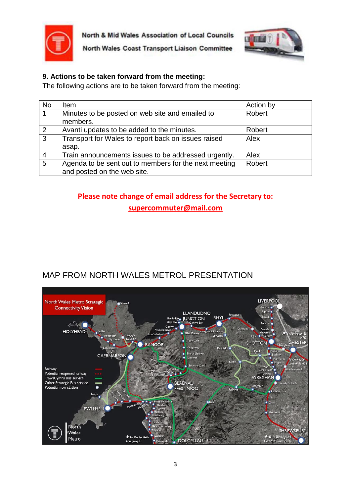



North Wales Coast Transport Liaison Committee

#### **9. Actions to be taken forward from the meeting:**

The following actions are to be taken forward from the meeting:

| <b>No</b>      | <b>Item</b>                                           | Action by |
|----------------|-------------------------------------------------------|-----------|
| $\vert$ 1      | Minutes to be posted on web site and emailed to       | Robert    |
|                | members.                                              |           |
| $\overline{2}$ | Avanti updates to be added to the minutes.            | Robert    |
| $\overline{3}$ | Transport for Wales to report back on issues raised   | Alex      |
|                | asap.                                                 |           |
| $\overline{4}$ | Train announcements issues to be addressed urgently.  | Alex      |
| $\overline{5}$ | Agenda to be sent out to members for the next meeting | Robert    |
|                | and posted on the web site.                           |           |

# **Please note change of email address for the Secretary to:**

**[supercommuter@mail.com](mailto:supercommuter@mail.com)**

# MAP FROM NORTH WALES METROL PRESENTATION

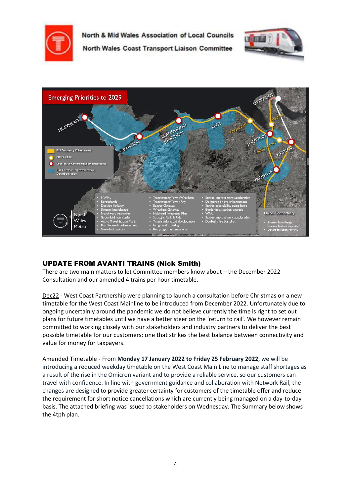

North & Mid Wales Association of Local Councils North Wales Coast Transport Liaison Committee



#### UPDATE FROM AVANTI TRAINS (Nick Smith)

There are two main matters to let Committee members know about – the December 2022 Consultation and our amended 4 trains per hour timetable.

Dec22 - West Coast Partnership were planning to launch a consultation before Christmas on a new timetable for the West Coast Mainline to be introduced from December 2022. Unfortunately due to ongoing uncertainly around the pandemic we do not believe currently the time is right to set out plans for future timetables until we have a better steer on the 'return to rail'. We however remain committed to working closely with our stakeholders and industry partners to deliver the best possible timetable for our customers; one that strikes the best balance between connectivity and value for money for taxpayers.

Amended Timetable - From **Monday 17 January 2022 to Friday 25 February 2022**, we will be introducing a reduced weekday timetable on the West Coast Main Line to manage staff shortages as a result of the rise in the Omicron variant and to provide a reliable service, so our customers can travel with confidence. In line with government guidance and collaboration with Network Rail, the changes are designed to provide greater certainty for customers of the timetable offer and reduce the requirement for short notice cancellations which are currently being managed on a day-to-day basis. The attached briefing was issued to stakeholders on Wednesday. The Summary below shows the 4tph plan.